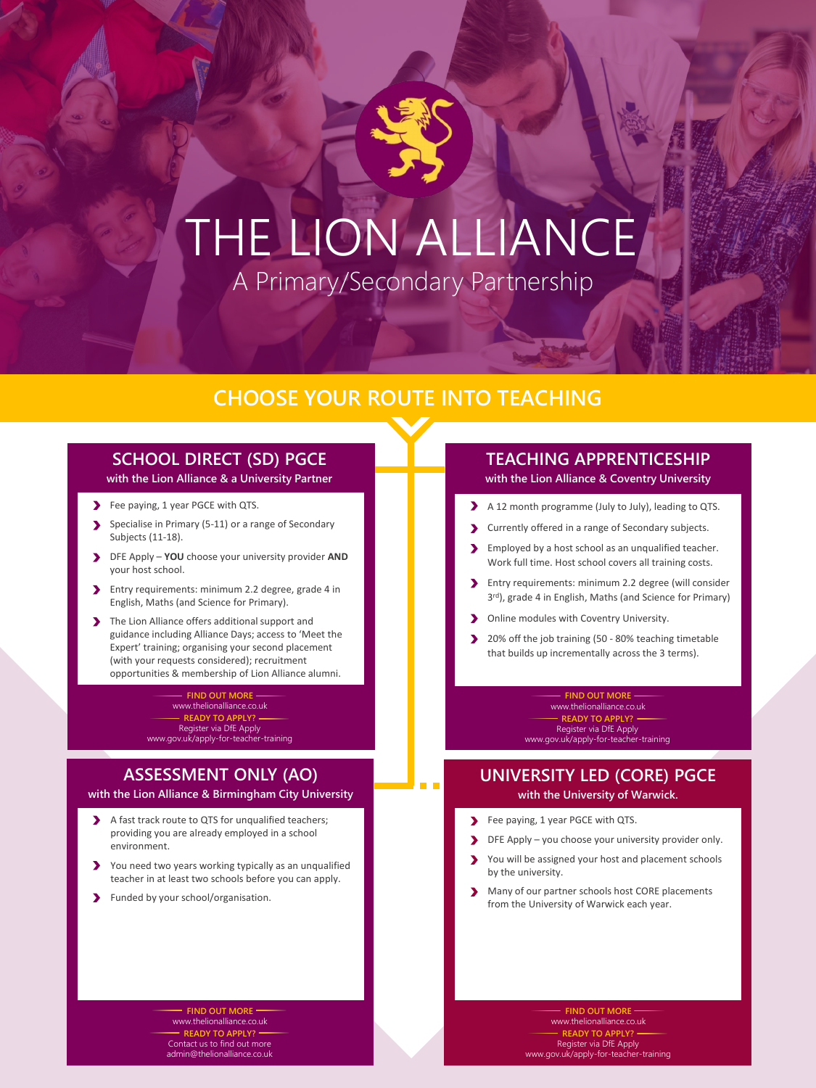# THE LION ALLIANCE A Primary/Secondary Partnership

## **CHOOSE YOUR ROUTE INTO TEACHING**

### **SCHOOL DIRECT (SD) PGCE with the Lion Alliance & a University Partner**

- Fee paying, 1 year PGCE with QTS.
- Specialise in Primary (5-11) or a range of Secondary  $\blacktriangleright$ Subjects (11-18).
- DFE Apply **YOU** choose your university provider **AND** your host school.
- Entry requirements: minimum 2.2 degree, grade 4 in  $\blacktriangleright$ English, Maths (and Science for Primary).
- The Lion Alliance offers additional support and  $\blacktriangleright$ guidance including Alliance Days; access to 'Meet the Expert' training; organising your second placement (with your requests considered); recruitment opportunities & membership of Lion Alliance alumni.

**FIND OUT MORE** www.thelionalliance.co.uk **READY TO APPLY?** Register via DfE Apply www.gov.uk/apply-for-teacher-training

## **ASSESSMENT ONLY (AO)**

**with the Lion Alliance & Birmingham City University**

- A fast track route to QTS for unqualified teachers;  $\blacktriangleright$ providing you are already employed in a school environment.
- $\blacktriangleright$ You need two years working typically as an unqualified teacher in at least two schools before you can apply.
- $\blacktriangleright$ Funded by your school/organisation.

# **TEACHING APPRENTICESHIP**

**with the Lion Alliance & Coventry University**

- A 12 month programme (July to July), leading to QTS.
- Currently offered in a range of Secondary subjects.
- Employed by a host school as an unqualified teacher.  $\blacktriangleright$ Work full time. Host school covers all training costs.
- $\blacktriangleright$ Entry requirements: minimum 2.2 degree (will consider 3<sup>rd</sup>), grade 4 in English, Maths (and Science for Primary)
- Online modules with Coventry University.  $\blacktriangleright$
- 20% off the job training (50 80% teaching timetable  $\blacktriangleright$ that builds up incrementally across the 3 terms).

**FIND OUT MOR** www.thelionalliance.co.uk **READY TO APPLY?** Register via DfE Apply www.gov.uk/apply-for-teacher-training

### **UNIVERSITY LED (CORE) PGCE with the University of Warwick.**

- Fee paying, 1 year PGCE with QTS.  $\blacktriangleright$
- DFE Apply you choose your university provider only.
- You will be assigned your host and placement schools by the university.
- Many of our partner schools host CORE placements  $\blacktriangleright$ from the University of Warwick each year.

**FIND OUT MORE** www.thelionalliance.co.uk **READY TO APPLY?** Contact us to find out more admin@thelionalliance.co.uk

**FIND OUT MORE** www.thelionalliance.co.uk **READY TO** Register via DfE Apply www.gov.uk/apply-for-teacher-training